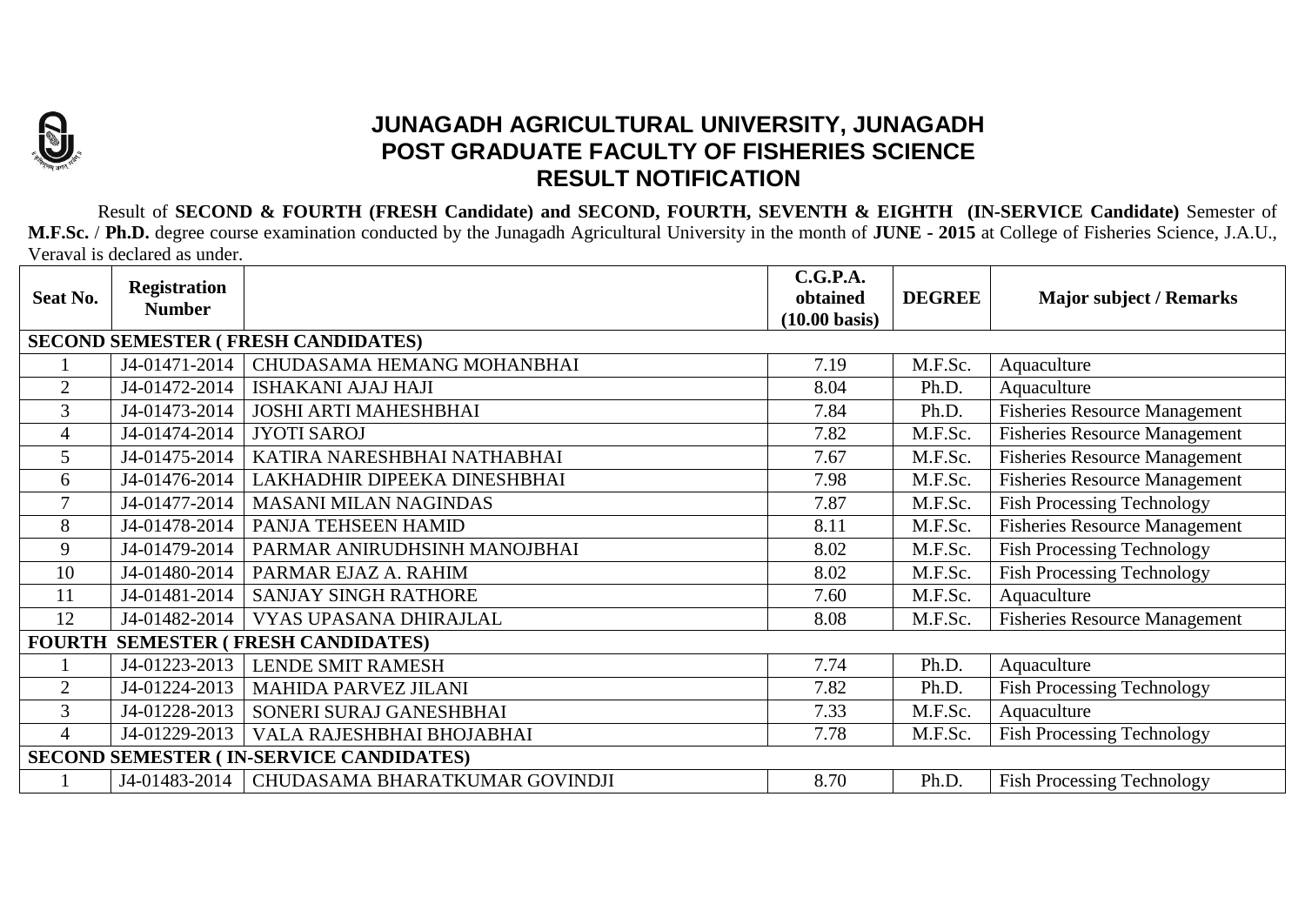

## **JUNAGADH AGRICULTURAL UNIVERSITY, JUNAGADH POST GRADUATE FACULTY OF FISHERIES SCIENCE RESULT NOTIFICATION**

Result of **SECOND & FOURTH (FRESH Candidate) and SECOND, FOURTH, SEVENTH & EIGHTH (IN-SERVICE Candidate)** Semester of **M.F.Sc.** / **Ph.D.** degree course examination conducted by the Junagadh Agricultural University in the month of **JUNE - 2015** at College of Fisheries Science, J.A.U., Veraval is declared as under.

| Seat No.                                       | <b>Registration</b><br><b>Number</b> |                                | C.G.P.A.<br>obtained    | <b>DEGREE</b> | <b>Major subject / Remarks</b>       |  |  |  |  |  |
|------------------------------------------------|--------------------------------------|--------------------------------|-------------------------|---------------|--------------------------------------|--|--|--|--|--|
|                                                |                                      |                                | $(10.00 \text{ basis})$ |               |                                      |  |  |  |  |  |
| <b>SECOND SEMESTER ( FRESH CANDIDATES)</b>     |                                      |                                |                         |               |                                      |  |  |  |  |  |
|                                                | J4-01471-2014                        | CHUDASAMA HEMANG MOHANBHAI     | 7.19                    | M.F.Sc.       | Aquaculture                          |  |  |  |  |  |
| $\overline{2}$                                 | J4-01472-2014                        | <b>ISHAKANI AJAJ HAJI</b>      | 8.04                    | Ph.D.         | Aquaculture                          |  |  |  |  |  |
| 3                                              | J4-01473-2014                        | <b>JOSHI ARTI MAHESHBHAI</b>   | 7.84                    | Ph.D.         | <b>Fisheries Resource Management</b> |  |  |  |  |  |
| $\overline{4}$                                 | J4-01474-2014                        | <b>JYOTI SAROJ</b>             | 7.82                    | M.F.Sc.       | <b>Fisheries Resource Management</b> |  |  |  |  |  |
| 5                                              | J4-01475-2014                        | KATIRA NARESHBHAI NATHABHAI    | 7.67                    | M.F.Sc.       | <b>Fisheries Resource Management</b> |  |  |  |  |  |
| 6                                              | J4-01476-2014                        | LAKHADHIR DIPEEKA DINESHBHAI   | 7.98                    | M.F.Sc.       | <b>Fisheries Resource Management</b> |  |  |  |  |  |
| $\tau$                                         | J4-01477-2014                        | <b>MASANI MILAN NAGINDAS</b>   | 7.87                    | M.F.Sc.       | <b>Fish Processing Technology</b>    |  |  |  |  |  |
| 8                                              | J4-01478-2014                        | PANJA TEHSEEN HAMID            | 8.11                    | M.F.Sc.       | <b>Fisheries Resource Management</b> |  |  |  |  |  |
| 9                                              | J4-01479-2014                        | PARMAR ANIRUDHSINH MANOJBHAI   | 8.02                    | M.F.Sc.       | <b>Fish Processing Technology</b>    |  |  |  |  |  |
| 10                                             | J4-01480-2014                        | PARMAR EJAZ A. RAHIM           | 8.02                    | M.F.Sc.       | <b>Fish Processing Technology</b>    |  |  |  |  |  |
| 11                                             | J4-01481-2014                        | <b>SANJAY SINGH RATHORE</b>    | 7.60                    | M.F.Sc.       | Aquaculture                          |  |  |  |  |  |
| 12                                             | J4-01482-2014                        | VYAS UPASANA DHIRAJLAL         | 8.08                    | M.F.Sc.       | <b>Fisheries Resource Management</b> |  |  |  |  |  |
| <b>FOURTH SEMESTER (FRESH CANDIDATES)</b>      |                                      |                                |                         |               |                                      |  |  |  |  |  |
|                                                | J4-01223-2013                        | <b>LENDE SMIT RAMESH</b>       | 7.74                    | Ph.D.         | Aquaculture                          |  |  |  |  |  |
| $\overline{2}$                                 | J4-01224-2013                        | <b>MAHIDA PARVEZ JILANI</b>    | 7.82                    | Ph.D.         | <b>Fish Processing Technology</b>    |  |  |  |  |  |
| 3                                              | J4-01228-2013                        | SONERI SURAJ GANESHBHAI        | 7.33                    | M.F.Sc.       | Aquaculture                          |  |  |  |  |  |
| $\Delta$                                       | J4-01229-2013                        | VALA RAJESHBHAI BHOJABHAI      | 7.78                    | M.F.Sc.       | <b>Fish Processing Technology</b>    |  |  |  |  |  |
| <b>SECOND SEMESTER (IN-SERVICE CANDIDATES)</b> |                                      |                                |                         |               |                                      |  |  |  |  |  |
|                                                | J4-01483-2014                        | CHUDASAMA BHARATKUMAR GOVINDJI | 8.70                    | Ph.D.         | <b>Fish Processing Technology</b>    |  |  |  |  |  |